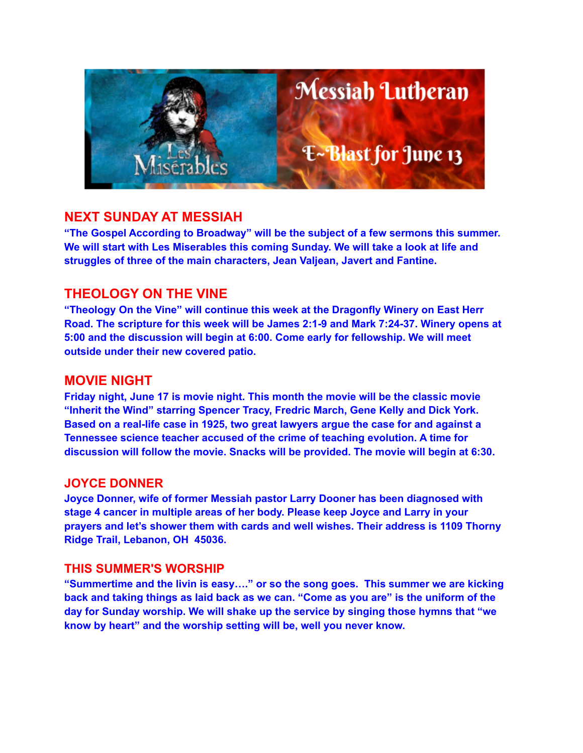

### **NEXT SUNDAY AT MESSIAH**

**"The Gospel According to Broadway" will be the subject of a few sermons this summer. We will start with Les Miserables this coming Sunday. We will take a look at life and struggles of three of the main characters, Jean Valjean, Javert and Fantine.**

### **THEOLOGY ON THE VINE**

**"Theology On the Vine" will continue this week at the Dragonfly Winery on East Herr Road. The scripture for this week will be James 2:1-9 and Mark 7:24-37. Winery opens at 5:00 and the discussion will begin at 6:00. Come early for fellowship. We will meet outside under their new covered patio.**

### **MOVIE NIGHT**

**Friday night, June 17 is movie night. This month the movie will be the classic movie "Inherit the Wind" starring Spencer Tracy, Fredric March, Gene Kelly and Dick York. Based on a real-life case in 1925, two great lawyers argue the case for and against a Tennessee science teacher accused of the crime of teaching evolution. A time for discussion will follow the movie. Snacks will be provided. The movie will begin at 6:30.**

#### **JOYCE DONNER**

**Joyce Donner, wife of former Messiah pastor Larry Dooner has been diagnosed with stage 4 cancer in multiple areas of her body. Please keep Joyce and Larry in your prayers and let's shower them with cards and well wishes. Their address is 1109 Thorny Ridge Trail, Lebanon, OH 45036.**

#### **THIS SUMMER'S WORSHIP**

**"Summertime and the livin is easy…." or so the song goes. This summer we are kicking back and taking things as laid back as we can. "Come as you are" is the uniform of the day for Sunday worship. We will shake up the service by singing those hymns that "we know by heart" and the worship setting will be, well you never know.**